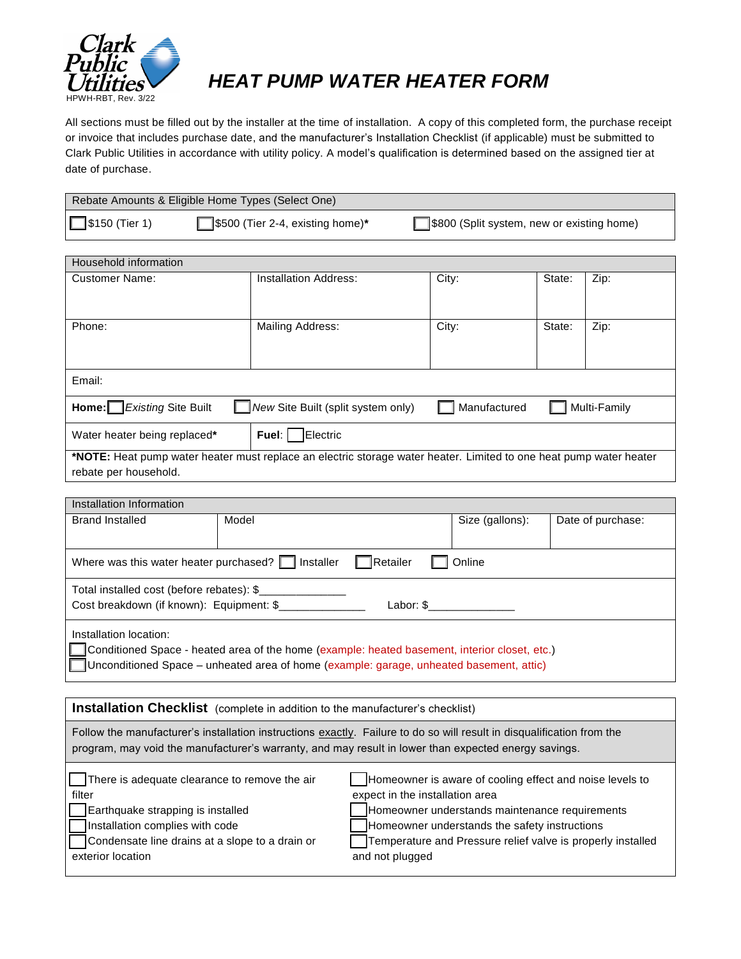

## *HEAT PUMP WATER HEATER FORM*

All sections must be filled out by the installer at the time of installation. A copy of this completed form, the purchase receipt or invoice that includes purchase date, and the manufacturer's Installation Checklist (if applicable) must be submitted to Clark Public Utilities in accordance with utility policy. A model's qualification is determined based on the assigned tier at date of purchase.

| Rebate Amounts & Eligible Home Types (Select One) |                                               |                                           |  |  |
|---------------------------------------------------|-----------------------------------------------|-------------------------------------------|--|--|
| $\Box$ \$150 (Tier 1)                             | $\sqrt{\ }}$ \$500 (Tier 2-4, existing home)* | S800 (Split system, new or existing home) |  |  |

| Household information                                                                                                                       |                       |       |        |      |  |
|---------------------------------------------------------------------------------------------------------------------------------------------|-----------------------|-------|--------|------|--|
| <b>Customer Name:</b>                                                                                                                       | Installation Address: | City: | State: | Zip: |  |
| Phone:                                                                                                                                      | Mailing Address:      | City: | State: | Zip: |  |
| Email:                                                                                                                                      |                       |       |        |      |  |
| Home: Existing Site Built<br>New Site Built (split system only)<br>Multi-Family<br>Manufactured                                             |                       |       |        |      |  |
| Water heater being replaced*                                                                                                                | Electric<br>Fuel:     |       |        |      |  |
| *NOTE: Heat pump water heater must replace an electric storage water heater. Limited to one heat pump water heater<br>rebate per household. |                       |       |        |      |  |

| Installation Information                                                                                                                                                                                           |       |  |                 |                   |  |
|--------------------------------------------------------------------------------------------------------------------------------------------------------------------------------------------------------------------|-------|--|-----------------|-------------------|--|
| <b>Brand Installed</b>                                                                                                                                                                                             | Model |  | Size (gallons): | Date of purchase: |  |
|                                                                                                                                                                                                                    |       |  |                 |                   |  |
| <b>Netailer</b><br>Where was this water heater purchased? $\Box$ Installer<br>Online                                                                                                                               |       |  |                 |                   |  |
| Total installed cost (before rebates): \$<br>Cost breakdown (if known): Equipment: \$                                                                                                                              |       |  |                 |                   |  |
| Installation location:<br>Conditioned Space - heated area of the home (example: heated basement, interior closet, etc.)<br>Unconditioned Space - unheated area of home (example: garage, unheated basement, attic) |       |  |                 |                   |  |

| Installation Checklist (complete in addition to the manufacturer's checklist)                                                                                                                                                  |                                                                                                                                                                                                                                                                                  |  |  |
|--------------------------------------------------------------------------------------------------------------------------------------------------------------------------------------------------------------------------------|----------------------------------------------------------------------------------------------------------------------------------------------------------------------------------------------------------------------------------------------------------------------------------|--|--|
| Follow the manufacturer's installation instructions exactly. Failure to do so will result in disqualification from the<br>program, may void the manufacturer's warranty, and may result in lower than expected energy savings. |                                                                                                                                                                                                                                                                                  |  |  |
| There is adequate clearance to remove the air<br>filter<br>Earthquake strapping is installed<br>Installation complies with code<br>Condensate line drains at a slope to a drain or<br>exterior location                        | Homeowner is aware of cooling effect and noise levels to<br>expect in the installation area<br>Homeowner understands maintenance requirements<br>Homeowner understands the safety instructions<br>Temperature and Pressure relief valve is properly installed<br>and not plugged |  |  |